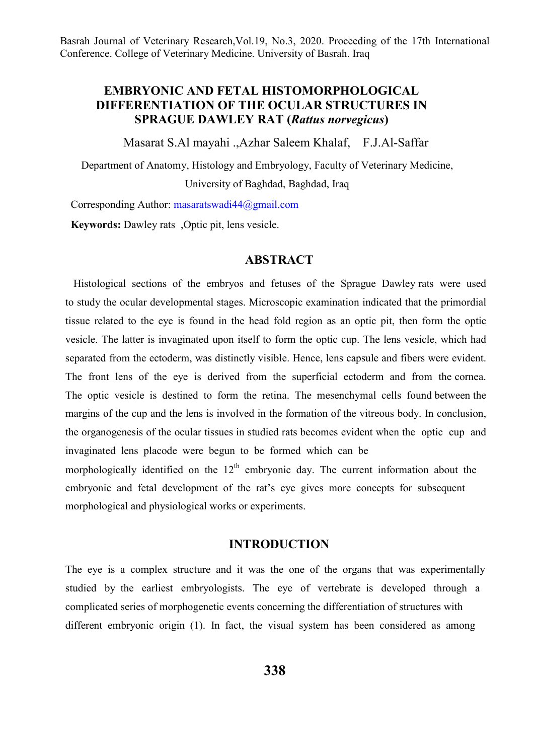# **EMBRYONIC AND FETAL HISTOMORPHOLOGICAL DIFFERENTIATION OF THE OCULAR STRUCTURES IN SPRAGUE DAWLEY RAT (***Rattus norvegicus***)**

Masarat S.Al mayahi .,Azhar Saleem Khalaf, F.J.Al-Saffar

Department of Anatomy, Histology and Embryology, Faculty of Veterinary Medicine, University of Baghdad, Baghdad, Iraq

Corresponding Author: masaratswadi44@gmail.com

**Keywords:** Dawley rats ,Optic pit, lens vesicle.

#### **ABSTRACT**

 Histological sections of the embryos and fetuses of the Sprague Dawley rats were used to study the ocular developmental stages. Microscopic examination indicated that the primordial tissue related to the eye is found in the head fold region as an optic pit, then form the optic vesicle. The latter is invaginated upon itself to form the optic cup. The lens vesicle, which had separated from the ectoderm, was distinctly visible. Hence, lens capsule and fibers were evident. The front lens of the eye is derived from the superficial ectoderm and from the cornea. The optic vesicle is destined to form the retina. The mesenchymal cells found between the margins of the cup and the lens is involved in the formation of the vitreous body. In conclusion, the organogenesis of the ocular tissues in studied rats becomes evident when the optic cup and invaginated lens placode were begun to be formed which can be morphologically identified on the  $12<sup>th</sup>$  embryonic day. The current information about the embryonic and fetal development of the rat's eye gives more concepts for subsequent morphological and physiological works or experiments.

#### **INTRODUCTION**

The eye is a complex structure and it was the one of the organs that was experimentally studied by the earliest embryologists. The eye of vertebrate is developed through a complicated series of morphogenetic events concerning the differentiation of structures with different embryonic origin (1). In fact, the visual system has been considered as among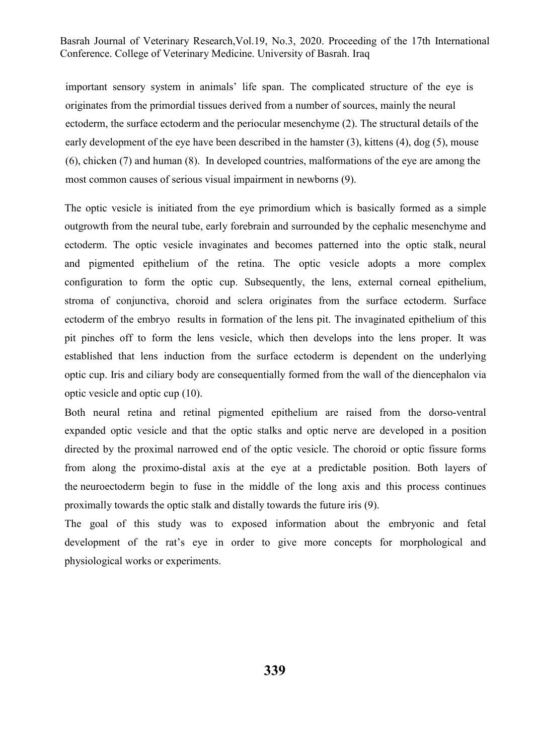important sensory system in animals' life span. The complicated structure of the eye is originates from the primordial tissues derived from a number of sources, mainly the neural ectoderm, the surface ectoderm and the periocular mesenchyme (2). The structural details of the early development of the eye have been described in the hamster (3), kittens (4), dog (5), mouse (6), chicken (7) and human (8). In developed countries, malformations of the eye are among the most common causes of serious visual impairment in newborns (9).

The optic vesicle is initiated from the eye primordium which is basically formed as a simple outgrowth from the neural tube, early forebrain and surrounded by the cephalic mesenchyme and ectoderm. The optic vesicle invaginates and becomes patterned into the optic stalk, neural and pigmented epithelium of the retina. The optic vesicle adopts a more complex configuration to form the optic cup. Subsequently, the lens, external corneal epithelium, stroma of conjunctiva, choroid and sclera originates from the surface ectoderm. Surface ectoderm of the embryo results in formation of the lens pit. The invaginated epithelium of this pit pinches off to form the lens vesicle, which then develops into the lens proper. It was established that lens induction from the surface ectoderm is dependent on the underlying optic cup. Iris and ciliary body are consequentially formed from the wall of the diencephalon via optic vesicle and optic cup (10).

Both neural retina and retinal pigmented epithelium are raised from the dorso-ventral expanded optic vesicle and that the optic stalks and optic nerve are developed in a position directed by the proximal narrowed end of the optic vesicle. The choroid or optic fissure forms from along the proximo-distal axis at the eye at a predictable position. Both layers of the neuroectoderm begin to fuse in the middle of the long axis and this process continues proximally towards the optic stalk and distally towards the future iris (9).

The goal of this study was to exposed information about the embryonic and fetal development of the rat's eye in order to give more concepts for morphological and physiological works or experiments.

**339**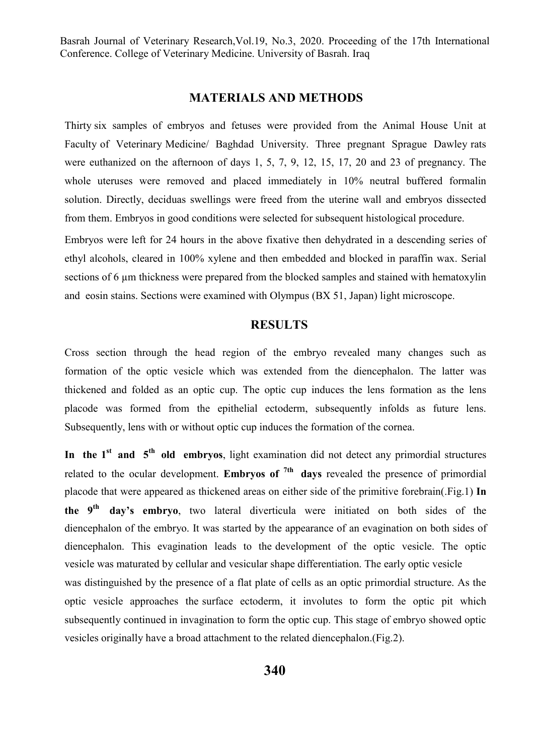## **MATERIALS AND METHODS**

Thirty six samples of embryos and fetuses were provided from the Animal House Unit at Faculty of Veterinary Medicine/ Baghdad University. Three pregnant Sprague Dawley rats were euthanized on the afternoon of days 1, 5, 7, 9, 12, 15, 17, 20 and 23 of pregnancy. The whole uteruses were removed and placed immediately in 10% neutral buffered formalin solution. Directly, deciduas swellings were freed from the uterine wall and embryos dissected from them. Embryos in good conditions were selected for subsequent histological procedure.

Embryos were left for 24 hours in the above fixative then dehydrated in a descending series of ethyl alcohols, cleared in 100% xylene and then embedded and blocked in paraffin wax. Serial sections of 6 µm thickness were prepared from the blocked samples and stained with hematoxylin and eosin stains. Sections were examined with Olympus (BX 51, Japan) light microscope.

## **RESULTS**

Cross section through the head region of the embryo revealed many changes such as formation of the optic vesicle which was extended from the diencephalon. The latter was thickened and folded as an optic cup. The optic cup induces the lens formation as the lens placode was formed from the epithelial ectoderm, subsequently infolds as future lens. Subsequently, lens with or without optic cup induces the formation of the cornea.

In the 1<sup>st</sup> and 5<sup>th</sup> old embryos, light examination did not detect any primordial structures related to the ocular development. **Embryos of 7th days** revealed the presence of primordial placode that were appeared as thickened areas on either side of the primitive forebrain(.Fig.1) **In the 9th day's embryo**, two lateral diverticula were initiated on both sides of the diencephalon of the embryo. It was started by the appearance of an evagination on both sides of diencephalon. This evagination leads to the development of the optic vesicle. The optic vesicle was maturated by cellular and vesicular shape differentiation. The early optic vesicle was distinguished by the presence of a flat plate of cells as an optic primordial structure. As the optic vesicle approaches the surface ectoderm, it involutes to form the optic pit which subsequently continued in invagination to form the optic cup. This stage of embryo showed optic vesicles originally have a broad attachment to the related diencephalon.(Fig.2).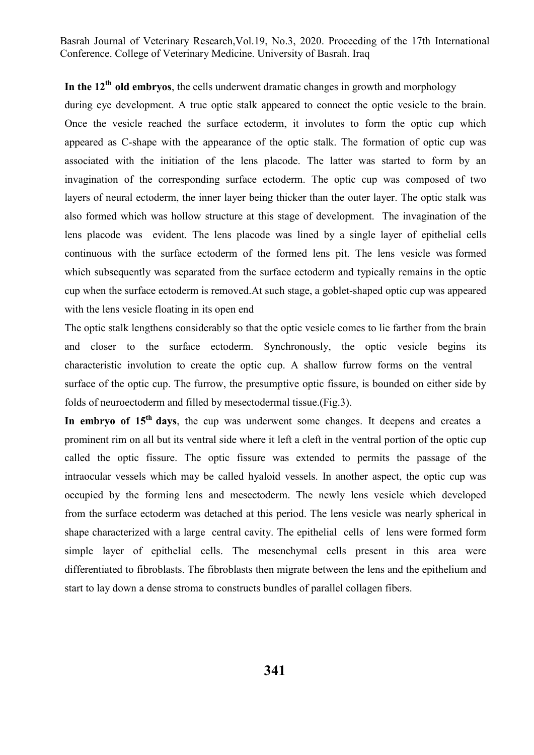# In the  $12<sup>th</sup>$  old embryos, the cells underwent dramatic changes in growth and morphology

during eye development. A true optic stalk appeared to connect the optic vesicle to the brain. Once the vesicle reached the surface ectoderm, it involutes to form the optic cup which appeared as C-shape with the appearance of the optic stalk. The formation of optic cup was associated with the initiation of the lens placode. The latter was started to form by an invagination of the corresponding surface ectoderm. The optic cup was composed of two layers of neural ectoderm, the inner layer being thicker than the outer layer. The optic stalk was also formed which was hollow structure at this stage of development. The invagination of the lens placode was evident. The lens placode was lined by a single layer of epithelial cells continuous with the surface ectoderm of the formed lens pit. The lens vesicle was formed which subsequently was separated from the surface ectoderm and typically remains in the optic cup when the surface ectoderm is removed.At such stage, a goblet-shaped optic cup was appeared with the lens vesicle floating in its open end

The optic stalk lengthens considerably so that the optic vesicle comes to lie farther from the brain and closer to the surface ectoderm. Synchronously, the optic vesicle begins its characteristic involution to create the optic cup. A shallow furrow forms on the ventral surface of the optic cup. The furrow, the presumptive optic fissure, is bounded on either side by folds of neuroectoderm and filled by mesectodermal tissue.(Fig.3).

In embryo of 15<sup>th</sup> days, the cup was underwent some changes. It deepens and creates a prominent rim on all but its ventral side where it left a cleft in the ventral portion of the optic cup called the optic fissure. The optic fissure was extended to permits the passage of the intraocular vessels which may be called hyaloid vessels. In another aspect, the optic cup was occupied by the forming lens and mesectoderm. The newly lens vesicle which developed from the surface ectoderm was detached at this period. The lens vesicle was nearly spherical in shape characterized with a large central cavity. The epithelial cells of lens were formed form simple layer of epithelial cells. The mesenchymal cells present in this area were differentiated to fibroblasts. The fibroblasts then migrate between the lens and the epithelium and start to lay down a dense stroma to constructs bundles of parallel collagen fibers.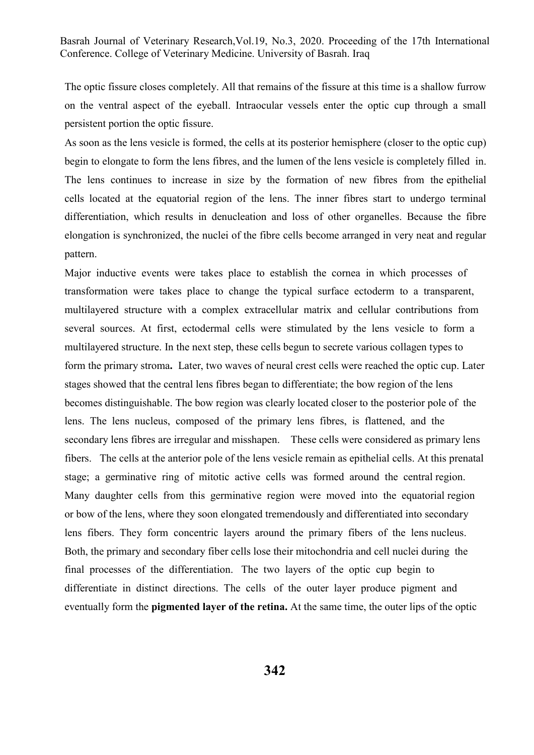The optic fissure closes completely. All that remains of the fissure at this time is a shallow furrow on the ventral aspect of the eyeball. Intraocular vessels enter the optic cup through a small persistent portion the optic fissure.

As soon as the lens vesicle is formed, the cells at its posterior hemisphere (closer to the optic cup) begin to elongate to form the lens fibres, and the lumen of the lens vesicle is completely filled in. The lens continues to increase in size by the formation of new fibres from the epithelial cells located at the equatorial region of the lens. The inner fibres start to undergo terminal differentiation, which results in denucleation and loss of other organelles. Because the fibre elongation is synchronized, the nuclei of the fibre cells become arranged in very neat and regular pattern.

Major inductive events were takes place to establish the cornea in which processes of transformation were takes place to change the typical surface ectoderm to a transparent, multilayered structure with a complex extracellular matrix and cellular contributions from several sources. At first, ectodermal cells were stimulated by the lens vesicle to form a multilayered structure. In the next step, these cells begun to secrete various collagen types to form the primary stroma**.** Later, two waves of neural crest cells were reached the optic cup. Later stages showed that the central lens fibres began to differentiate; the bow region of the lens becomes distinguishable. The bow region was clearly located closer to the posterior pole of the lens. The lens nucleus, composed of the primary lens fibres, is flattened, and the secondary lens fibres are irregular and misshapen. These cells were considered as primary lens fibers. The cells at the anterior pole of the lens vesicle remain as epithelial cells. At this prenatal stage; a germinative ring of mitotic active cells was formed around the central region. Many daughter cells from this germinative region were moved into the equatorial region or bow of the lens, where they soon elongated tremendously and differentiated into secondary lens fibers. They form concentric layers around the primary fibers of the lens nucleus. Both, the primary and secondary fiber cells lose their mitochondria and cell nuclei during the final processes of the differentiation. The two layers of the optic cup begin to differentiate in distinct directions. The cells of the outer layer produce pigment and eventually form the **pigmented layer of the retina.** At the same time, the outer lips of the optic

**342**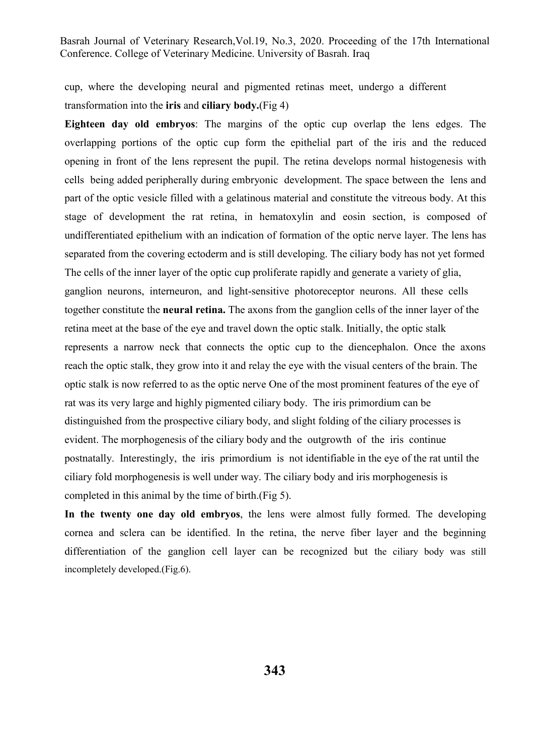cup, where the developing neural and pigmented retinas meet, undergo a different transformation into the **iris** and **ciliary body.**(Fig 4)

**Eighteen day old embryos**: The margins of the optic cup overlap the lens edges. The overlapping portions of the optic cup form the epithelial part of the iris and the reduced opening in front of the lens represent the pupil. The retina develops normal histogenesis with cells being added peripherally during embryonic development. The space between the lens and part of the optic vesicle filled with a gelatinous material and constitute the vitreous body. At this stage of development the rat retina, in hematoxylin and eosin section, is composed of undifferentiated epithelium with an indication of formation of the optic nerve layer. The lens has separated from the covering ectoderm and is still developing. The ciliary body has not yet formed The cells of the inner layer of the optic cup proliferate rapidly and generate a variety of glia, ganglion neurons, interneuron, and light-sensitive photoreceptor neurons. All these cells together constitute the **neural retina.** The axons from the ganglion cells of the inner layer of the retina meet at the base of the eye and travel down the optic stalk. Initially, the optic stalk represents a narrow neck that connects the optic cup to the diencephalon. Once the axons reach the optic stalk, they grow into it and relay the eye with the visual centers of the brain. The optic stalk is now referred to as the optic nerve One of the most prominent features of the eye of rat was its very large and highly pigmented ciliary body. The iris primordium can be distinguished from the prospective ciliary body, and slight folding of the ciliary processes is evident. The morphogenesis of the ciliary body and the outgrowth of the iris continue postnatally. Interestingly, the iris primordium is not identifiable in the eye of the rat until the ciliary fold morphogenesis is well under way. The ciliary body and iris morphogenesis is completed in this animal by the time of birth.(Fig 5).

**In the twenty one day old embryos**, the lens were almost fully formed. The developing cornea and sclera can be identified. In the retina, the nerve fiber layer and the beginning differentiation of the ganglion cell layer can be recognized but the ciliary body was still incompletely developed.(Fig.6).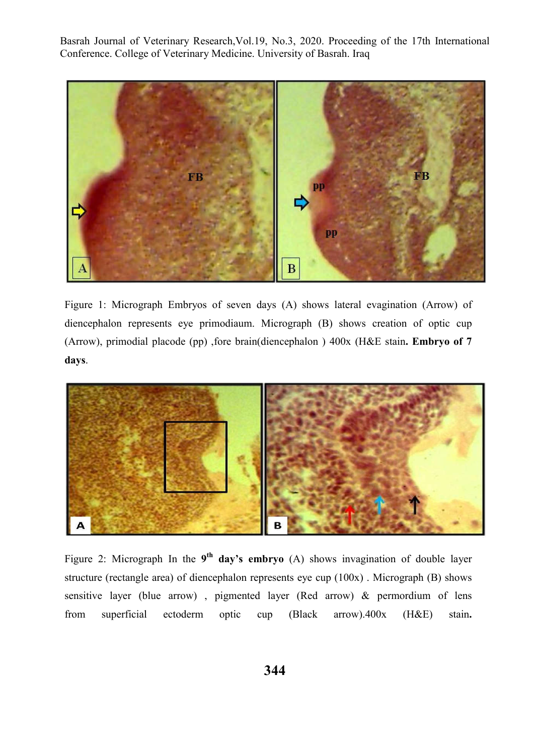

Figure 1: Micrograph Embryos of seven days (A) shows lateral evagination (Arrow) of diencephalon represents eye primodiaum. Micrograph (B) shows creation of optic cup (Arrow), primodial placode (pp) ,fore brain(diencephalon ) 400x (H&E stain**. Embryo of 7 days**.



Figure 2: Micrograph In the **9th day's embryo** (A) shows invagination of double layer structure (rectangle area) of diencephalon represents eye cup (100x) . Micrograph (B) shows sensitive layer (blue arrow) , pigmented layer (Red arrow) & permordium of lens from superficial ectoderm optic cup (Black arrow).400x (H&E) stain**.**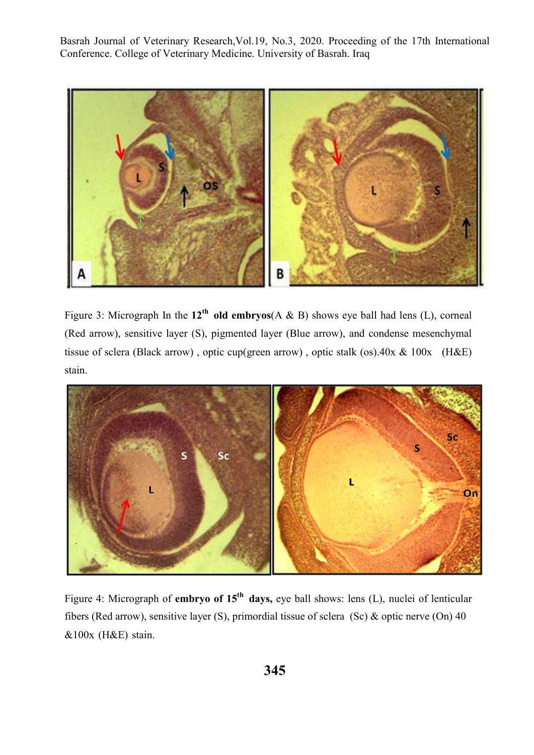

Figure 3: Micrograph In the  $12^{th}$  old embryos(A & B) shows eye ball had lens (L), corneal (Red arrow), sensitive layer (S), pigmented layer (Blue arrow), and condense mesenchymal tissue of sclera (Black arrow) , optic cup(green arrow) , optic stalk (os).40x & 100x (H&E) stain.



Figure 4: Micrograph of **embryo of 15th days,** eye ball shows: lens (L), nuclei of lenticular fibers (Red arrow), sensitive layer (S), primordial tissue of sclera (Sc) & optic nerve (On) 40 &100x (H&E) stain.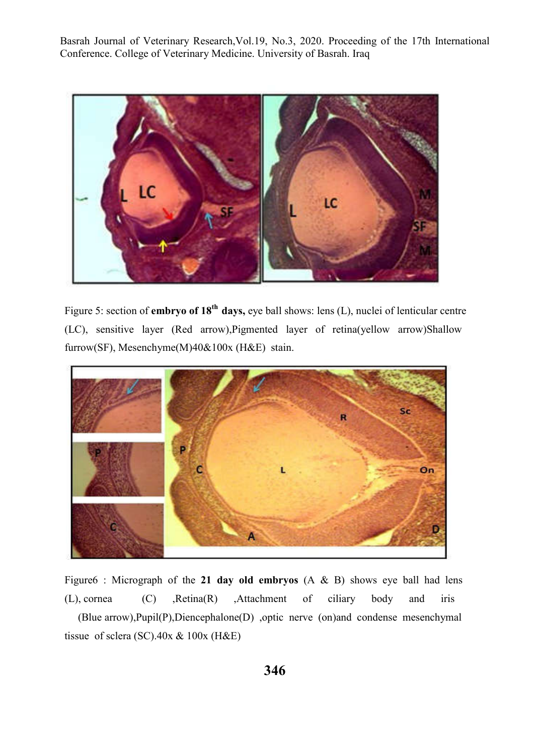

Figure 5: section of **embryo of 18th days,** eye ball shows: lens (L), nuclei of lenticular centre (LC), sensitive layer (Red arrow),Pigmented layer of retina(yellow arrow)Shallow furrow(SF), Mesenchyme(M)40&100x (H&E) stain.



Figure6 : Micrograph of the **21 day old embryos** (A & B) shows eye ball had lens (L), cornea (C) ,Retina(R) ,Attachment of ciliary body and iris (Blue arrow),Pupil(P),Diencephalone(D) ,optic nerve (on)and condense mesenchymal tissue of sclera (SC). $40x \& 100x$  (H&E)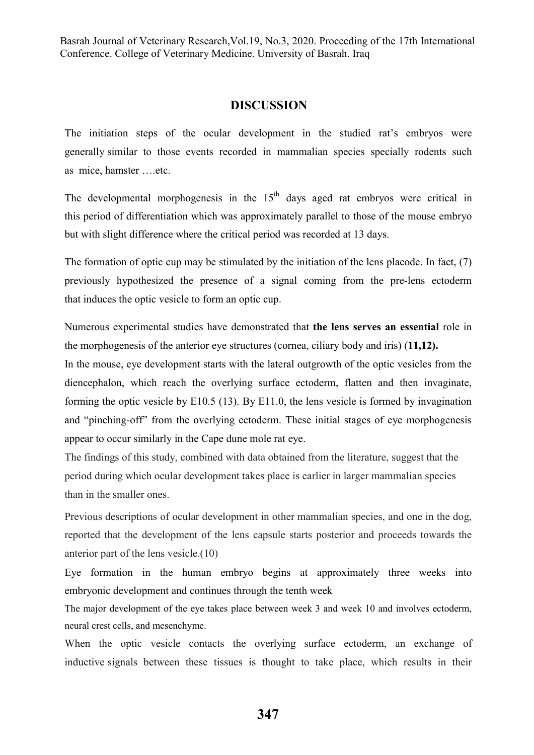## **DISCUSSION**

The initiation steps of the ocular development in the studied rat's embryos were generally similar to those events recorded in mammalian species specially rodents such as mice, hamster ….etc.

The developmental morphogenesis in the  $15<sup>th</sup>$  days aged rat embryos were critical in this period of differentiation which was approximately parallel to those of the mouse embryo but with slight difference where the critical period was recorded at 13 days.

The formation of optic cup may be stimulated by the initiation of the lens placode. In fact, (7) previously hypothesized the presence of a signal coming from the pre-lens ectoderm that induces the optic vesicle to form an optic cup.

Numerous experimental studies have demonstrated that **the lens serves an essential** role in the morphogenesis of the anterior eye structures (cornea, ciliary body and iris) (**11,12).**

In the mouse, eye development starts with the lateral outgrowth of the optic vesicles from the diencephalon, which reach the overlying surface ectoderm, flatten and then invaginate, forming the optic vesicle by E10.5 (13). By E11.0, the lens vesicle is formed by invagination and "pinching-off" from the overlying ectoderm. These initial stages of eye morphogenesis appear to occur similarly in the Cape dune mole rat eye.

The findings of this study, combined with data obtained from the literature, suggest that the period during which ocular development takes place is earlier in larger mammalian species than in the smaller ones.

Previous descriptions of ocular development in other mammalian species, and one in the dog, reported that the development of the lens capsule starts posterior and proceeds towards the anterior part of the lens vesicle.(10)

Eye formation in the human embryo begins at approximately three weeks into embryonic development and continues through the tenth week

The major development of the eye takes place between week 3 and week 10 and involves ectoderm, neural crest cells, and mesenchyme.

When the optic vesicle contacts the overlying surface ectoderm, an exchange of inductive signals between these tissues is thought to take place, which results in their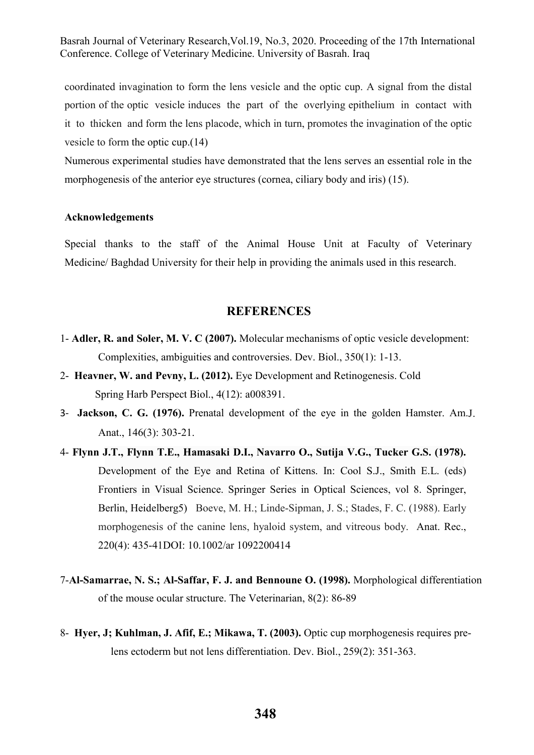coordinated invagination to form the lens vesicle and the optic cup. A signal from the distal portion of the optic vesicle induces the part of the overlying epithelium in contact with it to thicken and form the lens placode, which in turn, promotes the invagination of the optic vesicle to form the optic cup.(14)

Numerous experimental studies have demonstrated that the lens serves an essential role in the morphogenesis of the anterior eye structures (cornea, ciliary body and iris) (15).

#### **Acknowledgements**

Special thanks to the staff of the Animal House Unit at Faculty of Veterinary Medicine/ Baghdad University for their help in providing the animals used in this research.

### **REFERENCES**

- 1- **Adler, R. and Soler, M. V. C (2007).** Molecular mechanisms of optic vesicle development: Complexities, ambiguities and controversies. Dev. Biol., 350(1): 1-13.
- 2- **Heavner, W. and Pevny, L. (2012).** Eye Development and Retinogenesis. Cold Spring Harb Perspect Biol., 4(12): a008391.
- 3- **Jackson, C. G. (1976).** Prenatal development of the eye in the golden Hamster. Am.J. Anat., 146(3): 303-21.
- 4- **Flynn J.T., Flynn T.E., Hamasaki D.I., Navarro O., Sutija V.G., Tucker G.S. (1978).** Development of the Eye and Retina of Kittens. In: Cool S.J., Smith E.L. (eds) Frontiers in Visual Science. Springer Series in Optical Sciences, vol 8. Springer, Berlin, Heidelberg5) Boeve, M. H.; Linde-Sipman, J. S.; Stades, F. C. (1988). Early morphogenesis of the canine lens, hyaloid system, and vitreous body. Anat. Rec., 220(4): 435-41DOI: 10.1002/ar 1092200414
- 7-**Al-Samarrae, N. S.; Al-Saffar, F. J. and Bennoune O. (1998).** Morphological differentiation of the mouse ocular structure. The Veterinarian, 8(2): 86-89
- 8- **Hyer, J; Kuhlman, J. Afif, E.; Mikawa, T. (2003).** Optic cup morphogenesis requires prelens ectoderm but not lens differentiation. Dev. Biol., 259(2): 351-363.